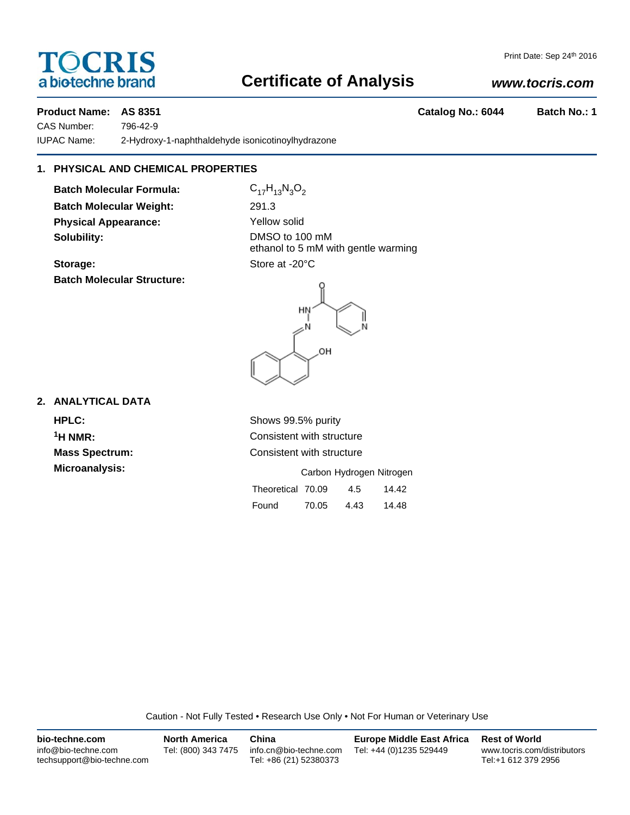# **TOCRIS** a biotechne brand

#### Print Date: Sep 24th 2016

# **Certificate of Analysis**

## *www.tocris.com*

**Product Name: AS 8351 Catalog No.: 6044 Batch No.: 1**

CAS Number: 796-42-9

IUPAC Name: 2-Hydroxy-1-naphthaldehyde isonicotinoylhydrazone

## **1. PHYSICAL AND CHEMICAL PROPERTIES**

**Batch Molecular Formula:** C<sub>17</sub>H<sub>13</sub>N<sub>3</sub>O<sub>2</sub> **Batch Molecular Weight:** 291.3 **Physical Appearance:** Yellow solid **Solubility:** DMSO to 100 mM

**Batch Molecular Structure:**

ethanol to 5 mM with gentle warming Storage: Store at -20°C



**2. ANALYTICAL DATA**

**HPLC:** Shows 99.5% purity **Microanalysis:** 

<sup>1</sup>H NMR: Consistent with structure **Mass Spectrum:** Consistent with structure

|                   |       | Carbon Hydrogen Nitrogen |       |
|-------------------|-------|--------------------------|-------|
| Theoretical 70.09 |       | 4.5                      | 14.42 |
| Found             | 70.05 | 4.43                     | 14.48 |

Caution - Not Fully Tested • Research Use Only • Not For Human or Veterinary Use

| bio-techne.com                                    | <b>North America</b> | China                                            | <b>Europe Middle East Africa</b> | <b>Rest of World</b>                               |
|---------------------------------------------------|----------------------|--------------------------------------------------|----------------------------------|----------------------------------------------------|
| info@bio-techne.com<br>techsupport@bio-techne.com | Tel: (800) 343 7475  | info.cn@bio-techne.com<br>Tel: +86 (21) 52380373 | Tel: +44 (0)1235 529449          | www.tocris.com/distributors<br>Tel:+1 612 379 2956 |